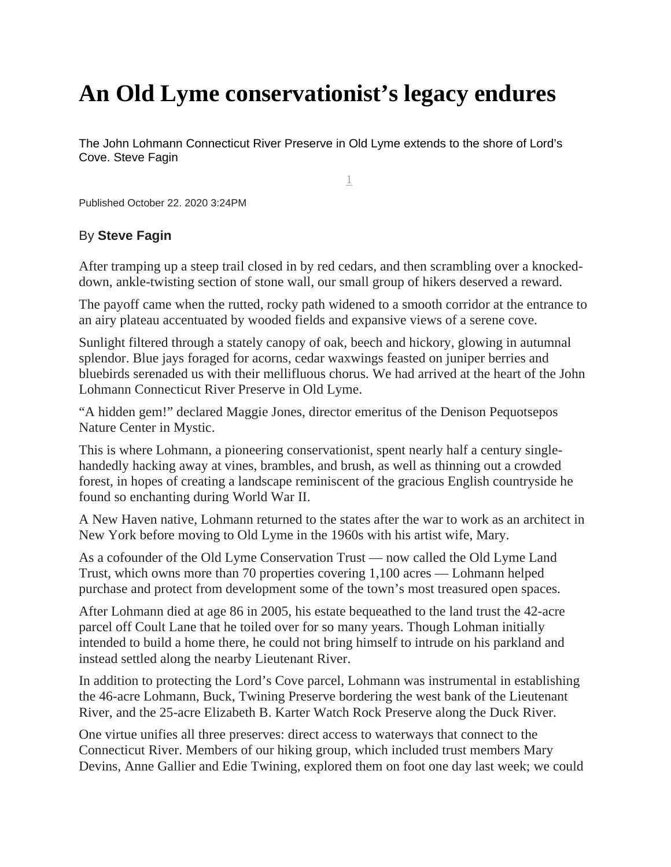## **An Old Lyme conservationist's legacy endures**

The John Lohmann Connecticut River Preserve in Old Lyme extends to the shore of Lord's Cove. Steve Fagin

1

Published October 22. 2020 3:24PM

## By **Steve Fagin**

After tramping up a steep trail closed in by red cedars, and then scrambling over a knockeddown, ankle-twisting section of stone wall, our small group of hikers deserved a reward.

The payoff came when the rutted, rocky path widened to a smooth corridor at the entrance to an airy plateau accentuated by wooded fields and expansive views of a serene cove.

Sunlight filtered through a stately canopy of oak, beech and hickory, glowing in autumnal splendor. Blue jays foraged for acorns, cedar waxwings feasted on juniper berries and bluebirds serenaded us with their mellifluous chorus. We had arrived at the heart of the John Lohmann Connecticut River Preserve in Old Lyme.

"A hidden gem!" declared Maggie Jones, director emeritus of the Denison Pequotsepos Nature Center in Mystic.

This is where Lohmann, a pioneering conservationist, spent nearly half a century singlehandedly hacking away at vines, brambles, and brush, as well as thinning out a crowded forest, in hopes of creating a landscape reminiscent of the gracious English countryside he found so enchanting during World War II.

A New Haven native, Lohmann returned to the states after the war to work as an architect in New York before moving to Old Lyme in the 1960s with his artist wife, Mary.

As a cofounder of the Old Lyme Conservation Trust — now called the Old Lyme Land Trust, which owns more than 70 properties covering 1,100 acres — Lohmann helped purchase and protect from development some of the town's most treasured open spaces.

After Lohmann died at age 86 in 2005, his estate bequeathed to the land trust the 42-acre parcel off Coult Lane that he toiled over for so many years. Though Lohman initially intended to build a home there, he could not bring himself to intrude on his parkland and instead settled along the nearby Lieutenant River.

In addition to protecting the Lord's Cove parcel, Lohmann was instrumental in establishing the 46-acre Lohmann, Buck, Twining Preserve bordering the west bank of the Lieutenant River, and the 25-acre Elizabeth B. Karter Watch Rock Preserve along the Duck River.

One virtue unifies all three preserves: direct access to waterways that connect to the Connecticut River. Members of our hiking group, which included trust members Mary Devins, Anne Gallier and Edie Twining, explored them on foot one day last week; we could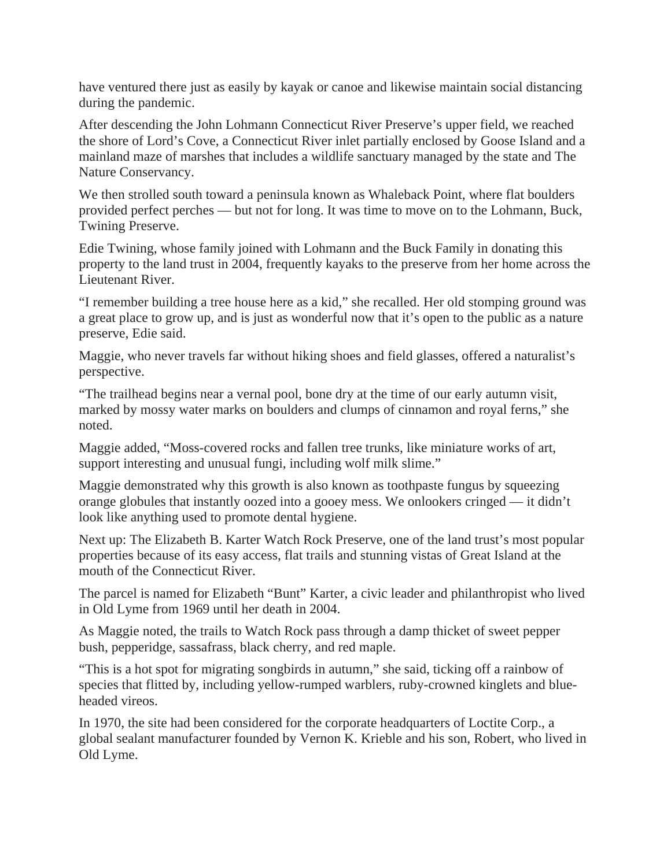have ventured there just as easily by kayak or canoe and likewise maintain social distancing during the pandemic.

After descending the John Lohmann Connecticut River Preserve's upper field, we reached the shore of Lord's Cove, a Connecticut River inlet partially enclosed by Goose Island and a mainland maze of marshes that includes a wildlife sanctuary managed by the state and The Nature Conservancy.

We then strolled south toward a peninsula known as Whaleback Point, where flat boulders provided perfect perches — but not for long. It was time to move on to the Lohmann, Buck, Twining Preserve.

Edie Twining, whose family joined with Lohmann and the Buck Family in donating this property to the land trust in 2004, frequently kayaks to the preserve from her home across the Lieutenant River.

"I remember building a tree house here as a kid," she recalled. Her old stomping ground was a great place to grow up, and is just as wonderful now that it's open to the public as a nature preserve, Edie said.

Maggie, who never travels far without hiking shoes and field glasses, offered a naturalist's perspective.

"The trailhead begins near a vernal pool, bone dry at the time of our early autumn visit, marked by mossy water marks on boulders and clumps of cinnamon and royal ferns," she noted.

Maggie added, "Moss-covered rocks and fallen tree trunks, like miniature works of art, support interesting and unusual fungi, including wolf milk slime."

Maggie demonstrated why this growth is also known as toothpaste fungus by squeezing orange globules that instantly oozed into a gooey mess. We onlookers cringed — it didn't look like anything used to promote dental hygiene.

Next up: The Elizabeth B. Karter Watch Rock Preserve, one of the land trust's most popular properties because of its easy access, flat trails and stunning vistas of Great Island at the mouth of the Connecticut River.

The parcel is named for Elizabeth "Bunt" Karter, a civic leader and philanthropist who lived in Old Lyme from 1969 until her death in 2004.

As Maggie noted, the trails to Watch Rock pass through a damp thicket of sweet pepper bush, pepperidge, sassafrass, black cherry, and red maple.

"This is a hot spot for migrating songbirds in autumn," she said, ticking off a rainbow of species that flitted by, including yellow-rumped warblers, ruby-crowned kinglets and blueheaded vireos.

In 1970, the site had been considered for the corporate headquarters of Loctite Corp., a global sealant manufacturer founded by Vernon K. Krieble and his son, Robert, who lived in Old Lyme.